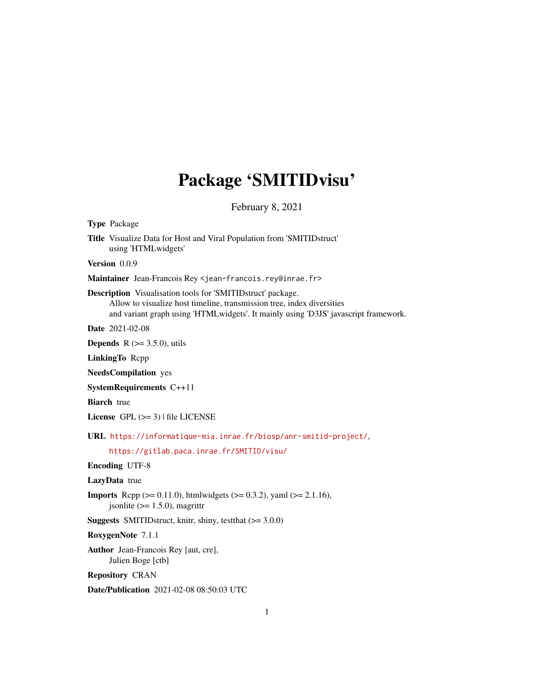# Package 'SMITIDvisu'

February 8, 2021

Type Package Title Visualize Data for Host and Viral Population from 'SMITIDstruct' using 'HTMLwidgets' Version 0.0.9 Maintainer Jean-Francois Rey <jean-francois.rey@inrae.fr> Description Visualisation tools for 'SMITIDstruct' package. Allow to visualize host timeline, transmission tree, index diversities and variant graph using 'HTMLwidgets'. It mainly using 'D3JS' javascript framework. Date 2021-02-08 **Depends** R  $(>= 3.5.0)$ , utils LinkingTo Rcpp NeedsCompilation yes SystemRequirements C++11 **Biarch** true License GPL  $(>= 3)$  | file LICENSE URL <https://informatique-mia.inrae.fr/biosp/anr-smitid-project/>, <https://gitlab.paca.inrae.fr/SMITID/visu/> Encoding UTF-8 LazyData true **Imports** Rcpp ( $>= 0.11.0$ ), htmlwidgets ( $>= 0.3.2$ ), yaml ( $>= 2.1.16$ ), jsonlite  $(>= 1.5.0)$ , magrittr **Suggests** SMITIDstruct, knitr, shiny, test that  $(>= 3.0.0)$ RoxygenNote 7.1.1 Author Jean-Francois Rey [aut, cre], Julien Boge [ctb] Repository CRAN Date/Publication 2021-02-08 08:50:03 UTC 1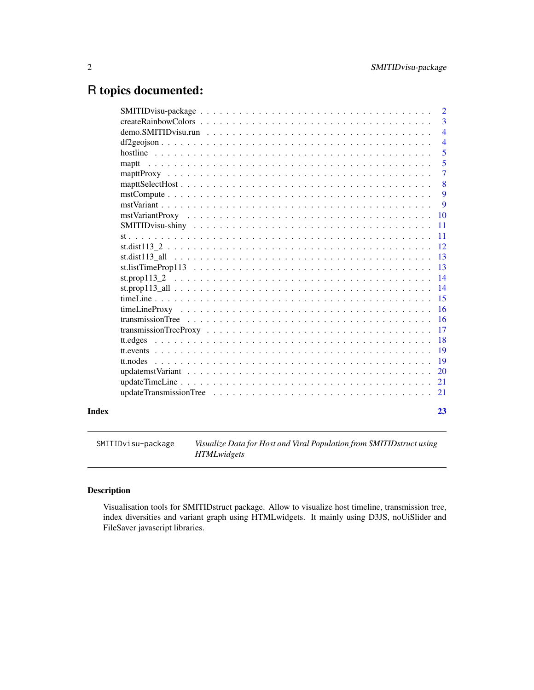## <span id="page-1-0"></span>R topics documented:

|          | $\overline{2}$           |
|----------|--------------------------|
|          | 3                        |
|          | $\overline{\mathcal{A}}$ |
|          | $\overline{4}$           |
|          | 5                        |
| maptt    | 5                        |
|          | $\overline{7}$           |
|          | 8                        |
|          | 9                        |
|          | 9                        |
|          | 10                       |
|          | 11                       |
|          | 11                       |
|          | 12                       |
|          | 13                       |
|          | 13                       |
|          | 14                       |
|          | 14                       |
|          | 15                       |
|          | 16                       |
|          | 16                       |
|          | 17                       |
|          | 18                       |
|          | 19                       |
| tt.nodes | 19                       |
|          | 20                       |
|          | 21                       |
|          | 21                       |
|          |                          |

#### **Index** [23](#page-22-0)

SMITIDvisu-package *Visualize Data for Host and Viral Population from SMITIDstruct using HTMLwidgets*

#### Description

Visualisation tools for SMITIDstruct package. Allow to visualize host timeline, transmission tree, index diversities and variant graph using HTMLwidgets. It mainly using D3JS, noUiSlider and FileSaver javascript libraries.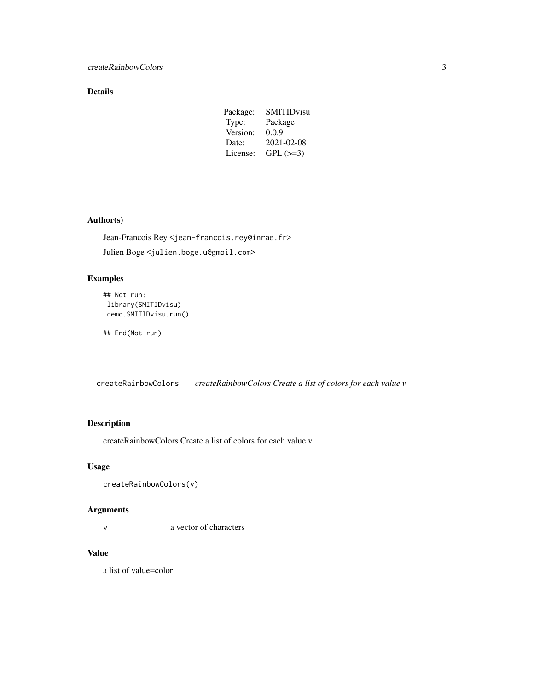#### <span id="page-2-0"></span>Details

| Package: | SMITIDvisu |
|----------|------------|
| Type:    | Package    |
| Version: | 0.0.9      |
| Date:    | 2021-02-08 |
| License: | $GPL (=3)$ |

#### Author(s)

Jean-Francois Rey <jean-francois.rey@inrae.fr>

Julien Boge <julien.boge.u@gmail.com>

#### Examples

```
## Not run:
library(SMITIDvisu)
 demo.SMITIDvisu.run()
```
## End(Not run)

createRainbowColors *createRainbowColors Create a list of colors for each value v*

### Description

createRainbowColors Create a list of colors for each value v

#### Usage

```
createRainbowColors(v)
```
#### Arguments

v a vector of characters

#### Value

a list of value=color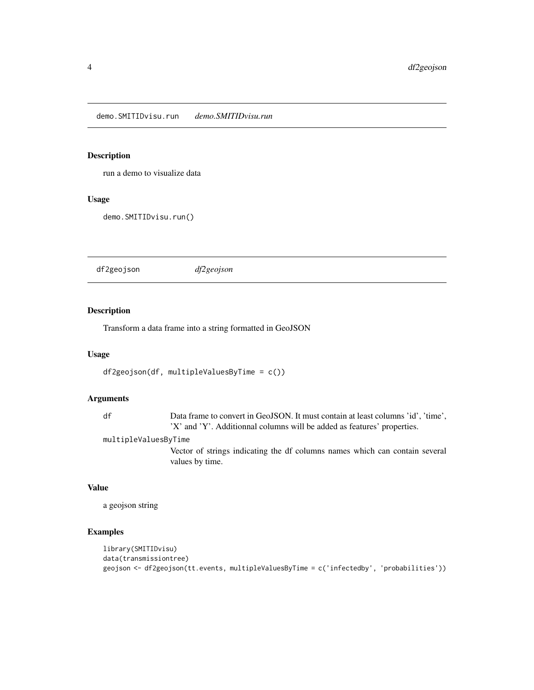<span id="page-3-0"></span>demo.SMITIDvisu.run *demo.SMITIDvisu.run*

#### Description

run a demo to visualize data

#### Usage

demo.SMITIDvisu.run()

df2geojson *df2geojson*

#### Description

Transform a data frame into a string formatted in GeoJSON

#### Usage

```
df2geojson(df, multipleValuesByTime = c())
```
#### Arguments

df Data frame to convert in GeoJSON. It must contain at least columns 'id', 'time', 'X' and 'Y'. Additionnal columns will be added as features' properties.

multipleValuesByTime

Vector of strings indicating the df columns names which can contain several values by time.

#### Value

a geojson string

```
library(SMITIDvisu)
data(transmissiontree)
geojson <- df2geojson(tt.events, multipleValuesByTime = c('infectedby', 'probabilities'))
```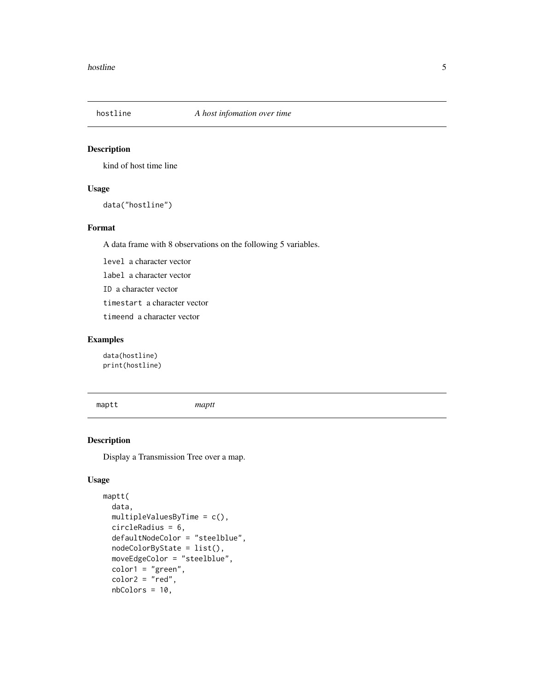<span id="page-4-0"></span>

kind of host time line

#### Usage

data("hostline")

#### Format

A data frame with 8 observations on the following 5 variables.

level a character vector

label a character vector

ID a character vector

timestart a character vector

timeend a character vector

#### Examples

data(hostline) print(hostline)

<span id="page-4-1"></span>maptt *maptt*

#### Description

Display a Transmission Tree over a map.

#### Usage

```
maptt(
 data,
 multipleValuesByTime = c(),
 circleRadius = 6,
  defaultNodeColor = "steelblue",
 nodeColorByState = list(),
 moveEdgeColor = "steelblue",
 color1 = "green",
  color2 = "red",nbColors = 10,
```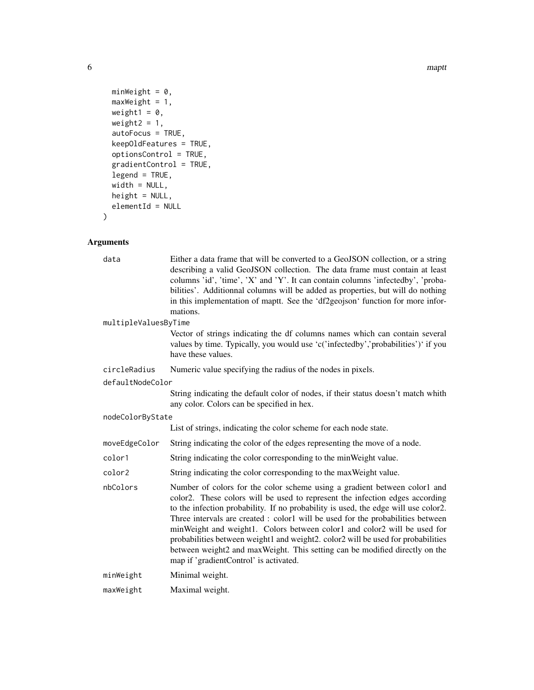6 mapt to the control of the control of the control of the control of the control of the control of the control of the control of the control of the control of the control of the control of the control of the control of th

```
minWeight = 0,
 maxWeight = 1,weight1 = 0,
 weight2 = 1,
 autoFocus = TRUE,
 keepOldFeatures = TRUE,
 optionsControl = TRUE,
 gradientControl = TRUE,
 legend = TRUE,
 width = NULL,
 height = NULL,
 elementId = NULL)
```
#### Arguments

| data                 | Either a data frame that will be converted to a GeoJSON collection, or a string<br>describing a valid GeoJSON collection. The data frame must contain at least<br>columns 'id', 'time', 'X' and 'Y'. It can contain columns 'infectedby', 'proba-<br>bilities'. Additionnal columns will be added as properties, but will do nothing<br>in this implementation of maptt. See the 'df2geojson' function for more infor-<br>mations.                                                                                                                                                                                          |
|----------------------|-----------------------------------------------------------------------------------------------------------------------------------------------------------------------------------------------------------------------------------------------------------------------------------------------------------------------------------------------------------------------------------------------------------------------------------------------------------------------------------------------------------------------------------------------------------------------------------------------------------------------------|
| multipleValuesByTime |                                                                                                                                                                                                                                                                                                                                                                                                                                                                                                                                                                                                                             |
|                      | Vector of strings indicating the df columns names which can contain several<br>values by time. Typically, you would use 'c('infectedby','probabilities')' if you<br>have these values.                                                                                                                                                                                                                                                                                                                                                                                                                                      |
| circleRadius         | Numeric value specifying the radius of the nodes in pixels.                                                                                                                                                                                                                                                                                                                                                                                                                                                                                                                                                                 |
| defaultNodeColor     |                                                                                                                                                                                                                                                                                                                                                                                                                                                                                                                                                                                                                             |
|                      | String indicating the default color of nodes, if their status doesn't match whith<br>any color. Colors can be specified in hex.                                                                                                                                                                                                                                                                                                                                                                                                                                                                                             |
| nodeColorByState     |                                                                                                                                                                                                                                                                                                                                                                                                                                                                                                                                                                                                                             |
|                      | List of strings, indicating the color scheme for each node state.                                                                                                                                                                                                                                                                                                                                                                                                                                                                                                                                                           |
| moveEdgeColor        | String indicating the color of the edges representing the move of a node.                                                                                                                                                                                                                                                                                                                                                                                                                                                                                                                                                   |
| color1               | String indicating the color corresponding to the minWeight value.                                                                                                                                                                                                                                                                                                                                                                                                                                                                                                                                                           |
| color2               | String indicating the color corresponding to the max Weight value.                                                                                                                                                                                                                                                                                                                                                                                                                                                                                                                                                          |
| nbColors             | Number of colors for the color scheme using a gradient between color1 and<br>color2. These colors will be used to represent the infection edges according<br>to the infection probability. If no probability is used, the edge will use color2.<br>Three intervals are created : color1 will be used for the probabilities between<br>minWeight and weight1. Colors between color1 and color2 will be used for<br>probabilities between weight1 and weight2. color2 will be used for probabilities<br>between weight2 and maxWeight. This setting can be modified directly on the<br>map if 'gradientControl' is activated. |
| minWeight            | Minimal weight.                                                                                                                                                                                                                                                                                                                                                                                                                                                                                                                                                                                                             |
| maxWeight            | Maximal weight.                                                                                                                                                                                                                                                                                                                                                                                                                                                                                                                                                                                                             |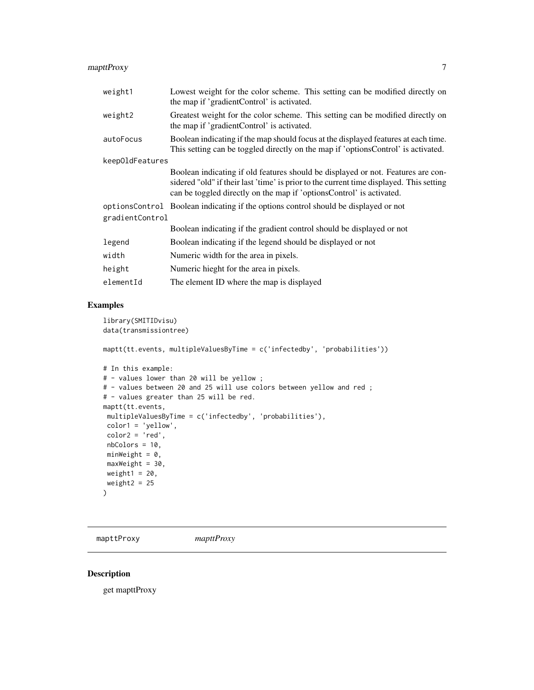#### <span id="page-6-0"></span>mapttProxy 7

| weight1         | Lowest weight for the color scheme. This setting can be modified directly on<br>the map if 'gradientControl' is activated.                                                                                                                          |
|-----------------|-----------------------------------------------------------------------------------------------------------------------------------------------------------------------------------------------------------------------------------------------------|
| weight2         | Greatest weight for the color scheme. This setting can be modified directly on<br>the map if 'gradientControl' is activated.                                                                                                                        |
| autoFocus       | Boolean indicating if the map should focus at the displayed features at each time.<br>This setting can be toggled directly on the map if 'optionsControl' is activated.                                                                             |
| keep01dFeatures |                                                                                                                                                                                                                                                     |
|                 | Boolean indicating if old features should be displayed or not. Features are con-<br>sidered "old" if their last 'time' is prior to the current time displayed. This setting<br>can be toggled directly on the map if 'optionsControl' is activated. |
|                 | options Control Boolean indicating if the options control should be displayed or not                                                                                                                                                                |
| gradientControl |                                                                                                                                                                                                                                                     |
|                 | Boolean indicating if the gradient control should be displayed or not                                                                                                                                                                               |
| legend          | Boolean indicating if the legend should be displayed or not                                                                                                                                                                                         |
| width           | Numeric width for the area in pixels.                                                                                                                                                                                                               |
| height          | Numeric hieght for the area in pixels.                                                                                                                                                                                                              |
| elementId       | The element ID where the map is displayed                                                                                                                                                                                                           |

#### Examples

```
library(SMITIDvisu)
data(transmissiontree)
maptt(tt.events, multipleValuesByTime = c('infectedby', 'probabilities'))
# In this example:
# - values lower than 20 will be yellow ;
# - values between 20 and 25 will use colors between yellow and red ;
# - values greater than 25 will be red.
maptt(tt.events,
multipleValuesByTime = c('infectedby', 'probabilities'),
color1 = 'yellow',
color2 = 'red',
nbColors = 10,
minWeight = 0,maxWeight = 30,
weight1 = 20,
weight2 = 25)
```
mapttProxy *mapttProxy*

#### Description

get mapttProxy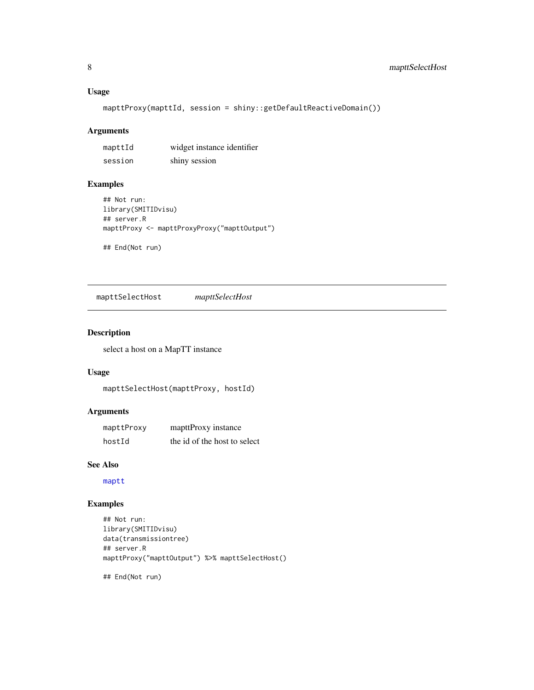#### <span id="page-7-0"></span>Usage

mapttProxy(mapttId, session = shiny::getDefaultReactiveDomain())

#### Arguments

| mapttId | widget instance identifier |
|---------|----------------------------|
| session | shiny session              |

#### Examples

```
## Not run:
library(SMITIDvisu)
## server.R
mapttProxy <- mapttProxyProxy("mapttOutput")
```
## End(Not run)

mapttSelectHost *mapttSelectHost*

#### Description

select a host on a MapTT instance

#### Usage

mapttSelectHost(mapttProxy, hostId)

#### Arguments

| mapttProxy | mapttProxy instance          |
|------------|------------------------------|
| hostId     | the id of the host to select |

#### See Also

[maptt](#page-4-1)

#### Examples

```
## Not run:
library(SMITIDvisu)
data(transmissiontree)
## server.R
mapttProxy("mapttOutput") %>% mapttSelectHost()
```
## End(Not run)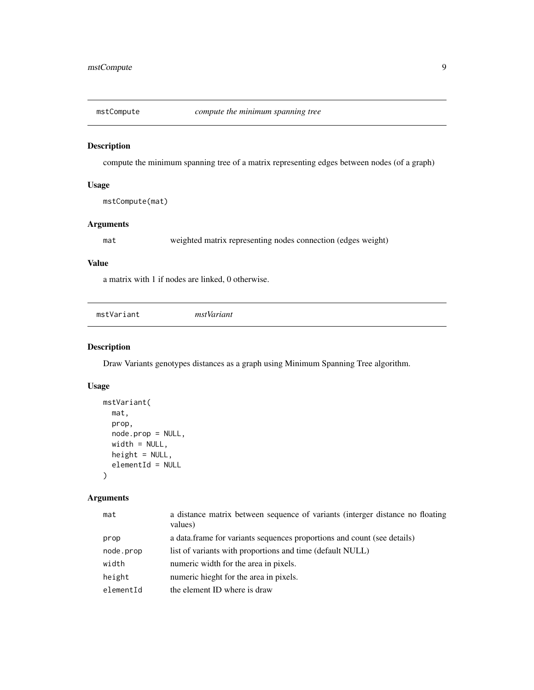<span id="page-8-0"></span>

compute the minimum spanning tree of a matrix representing edges between nodes (of a graph)

#### Usage

mstCompute(mat)

#### Arguments

mat weighted matrix representing nodes connection (edges weight)

#### Value

a matrix with 1 if nodes are linked, 0 otherwise.

<span id="page-8-1"></span>

|--|

#### Description

Draw Variants genotypes distances as a graph using Minimum Spanning Tree algorithm.

#### Usage

```
mstVariant(
 mat,
 prop,
 node.prop = NULL,
 width = NULL,height = NULL,elementId = NULL)
```
#### Arguments

| mat       | a distance matrix between sequence of variants (interger distance no floating<br>values) |
|-----------|------------------------------------------------------------------------------------------|
| prop      | a data. frame for variants sequences proportions and count (see details)                 |
| node.prop | list of variants with proportions and time (default NULL)                                |
| width     | numeric width for the area in pixels.                                                    |
| height    | numeric hieght for the area in pixels.                                                   |
| elementId | the element ID where is draw                                                             |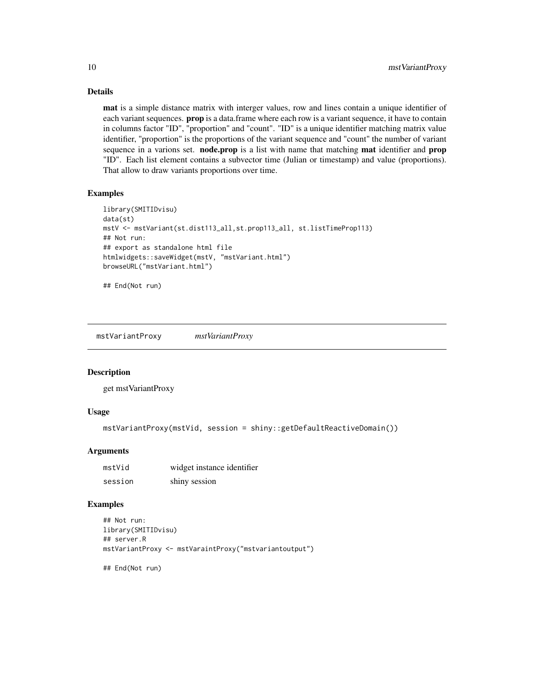#### Details

mat is a simple distance matrix with interger values, row and lines contain a unique identifier of each variant sequences. **prop** is a data.frame where each row is a variant sequence, it have to contain in columns factor "ID", "proportion" and "count". "ID" is a unique identifier matching matrix value identifier, "proportion" is the proportions of the variant sequence and "count" the number of variant sequence in a varions set. **node.prop** is a list with name that matching **mat** identifier and **prop** "ID". Each list element contains a subvector time (Julian or timestamp) and value (proportions). That allow to draw variants proportions over time.

#### Examples

```
library(SMITIDvisu)
data(st)
mstV <- mstVariant(st.dist113_all,st.prop113_all, st.listTimeProp113)
## Not run:
## export as standalone html file
htmlwidgets::saveWidget(mstV, "mstVariant.html")
browseURL("mstVariant.html")
```
## End(Not run)

mstVariantProxy *mstVariantProxy*

#### Description

get mstVariantProxy

#### Usage

```
mstVariantProxy(mstVid, session = shiny::getDefaultReactiveDomain())
```
#### **Arguments**

| mstVid  | widget instance identifier |
|---------|----------------------------|
| session | shiny session              |

```
## Not run:
library(SMITIDvisu)
## server.R
mstVariantProxy <- mstVaraintProxy("mstvariantoutput")
## End(Not run)
```
<span id="page-9-0"></span>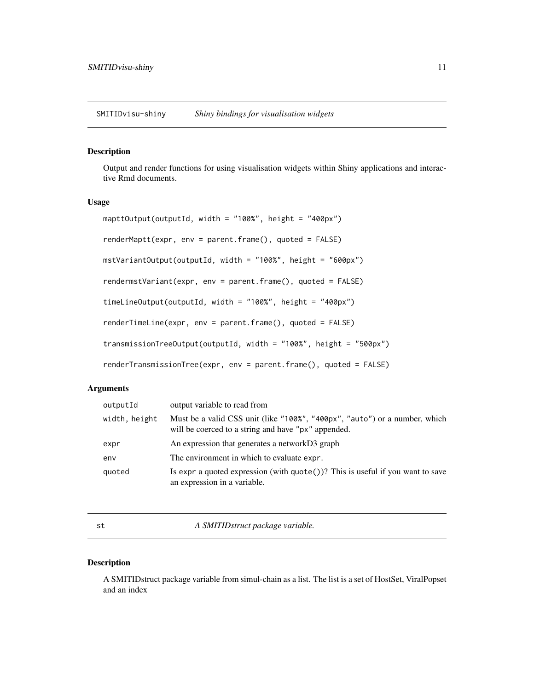<span id="page-10-0"></span>SMITIDvisu-shiny *Shiny bindings for visualisation widgets*

#### Description

Output and render functions for using visualisation widgets within Shiny applications and interactive Rmd documents.

#### Usage

```
mapttOutput(outputId, width = "100%", height = "400px")
renderMaptt(expr, env = parent.frame(), quoted = FALSE)
mstVariantOutput(outputId, width = "100%", height = "600px")
rendermstVariant(expr, env = parent.frame(), quoted = FALSE)
timeLineOutput(outputId, width = "100%", height = "400px")
renderTimeLine(expr, env = parent.frame(), quoted = FALSE)
transmissionTreeOutput(outputId, width = "100%", height = "500px")
renderTransmissionTree(expr, env = parent.frame(), quoted = FALSE)
```
#### Arguments

| outputId      | output variable to read from                                                                                                      |
|---------------|-----------------------------------------------------------------------------------------------------------------------------------|
| width, height | Must be a valid CSS unit (like "100%", "400px", "auto") or a number, which<br>will be coerced to a string and have "px" appended. |
| expr          | An expression that generates a networkD3 graph                                                                                    |
| env           | The environment in which to evaluate expr.                                                                                        |
| quoted        | Is expr a quoted expression (with $\text{quote}()$ )? This is useful if you want to save<br>an expression in a variable.          |

st *A SMITIDstruct package variable.*

#### Description

A SMITIDstruct package variable from simul-chain as a list. The list is a set of HostSet, ViralPopset and an index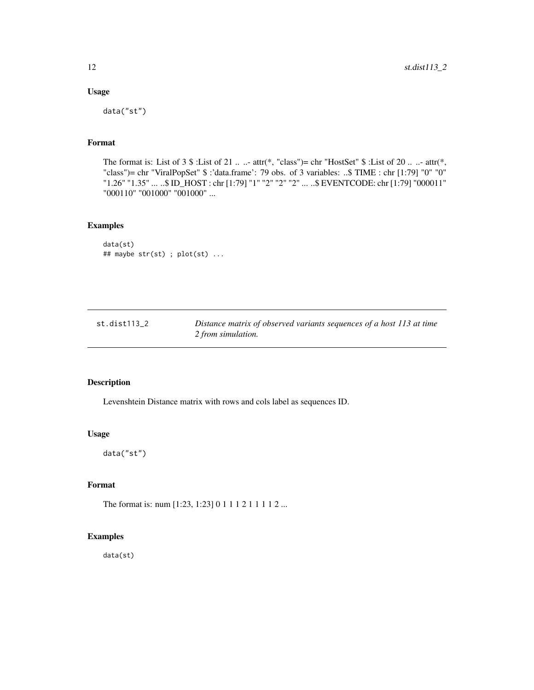#### Usage

data("st")

#### Format

The format is: List of  $3 \$  :List of  $21 \ldots$  - attr(\*, "class")= chr "HostSet"  $\$  :List of  $20 \ldots$  - attr(\*, "class")= chr "ViralPopSet" \$ :'data.frame': 79 obs. of 3 variables: ..\$ TIME : chr [1:79] "0" "0" "1.26" "1.35" ... ..\$ ID\_HOST : chr [1:79] "1" "2" "2" "2" ... ..\$ EVENTCODE: chr [1:79] "000011" "000110" "001000" "001000" ...

#### Examples

```
data(st)
## maybe str(st) ; plot(st) ...
```

| st.dist113 2 | Distance matrix of observed variants sequences of a host 113 at time |
|--------------|----------------------------------------------------------------------|
|              | 2 from simulation.                                                   |

#### Description

Levenshtein Distance matrix with rows and cols label as sequences ID.

#### Usage

data("st")

#### Format

The format is: num [1:23, 1:23] 0 1 1 1 2 1 1 1 1 2 ...

#### Examples

data(st)

<span id="page-11-0"></span>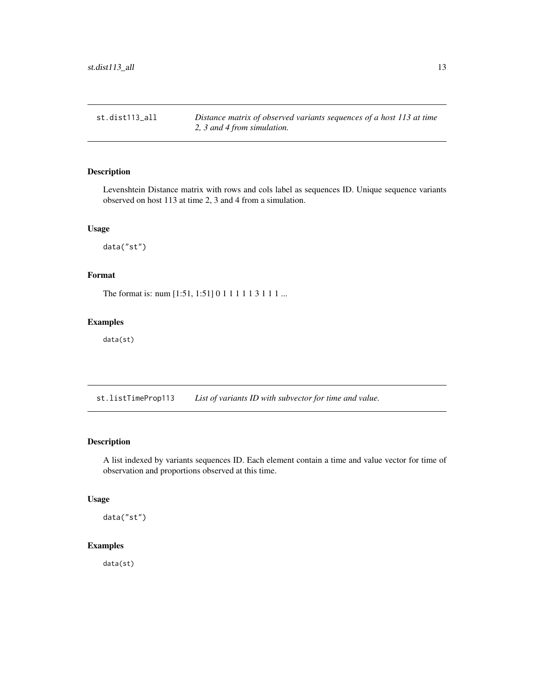<span id="page-12-0"></span>st.dist113\_all *Distance matrix of observed variants sequences of a host 113 at time 2, 3 and 4 from simulation.*

#### Description

Levenshtein Distance matrix with rows and cols label as sequences ID. Unique sequence variants observed on host 113 at time 2, 3 and 4 from a simulation.

#### Usage

data("st")

#### Format

The format is: num [1:51, 1:51] 0 1 1 1 1 1 3 1 1 1 ...

#### Examples

data(st)

st.listTimeProp113 *List of variants ID with subvector for time and value.*

#### Description

A list indexed by variants sequences ID. Each element contain a time and value vector for time of observation and proportions observed at this time.

#### Usage

data("st")

#### Examples

data(st)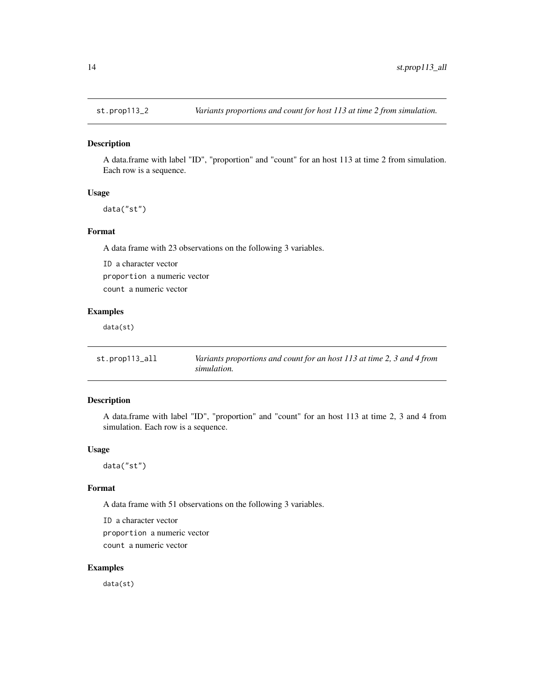<span id="page-13-0"></span>

A data.frame with label "ID", "proportion" and "count" for an host 113 at time 2 from simulation. Each row is a sequence.

#### Usage

data("st")

#### Format

A data frame with 23 observations on the following 3 variables.

ID a character vector proportion a numeric vector count a numeric vector

#### Examples

data(st)

| st.prop113_all | Variants proportions and count for an host 113 at time 2, 3 and 4 from |
|----------------|------------------------------------------------------------------------|
|                | simulation.                                                            |

#### Description

A data.frame with label "ID", "proportion" and "count" for an host 113 at time 2, 3 and 4 from simulation. Each row is a sequence.

#### Usage

data("st")

#### Format

A data frame with 51 observations on the following 3 variables.

ID a character vector proportion a numeric vector count a numeric vector

#### Examples

data(st)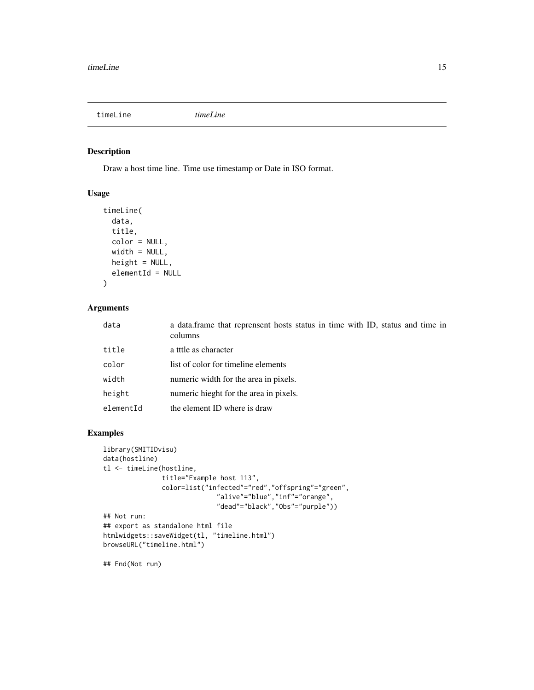<span id="page-14-1"></span><span id="page-14-0"></span>timeLine *timeLine*

#### Description

Draw a host time line. Time use timestamp or Date in ISO format.

#### Usage

```
timeLine(
  data,
  title,
  color = NULL,
  width = NULL,
  height = NULL,elementId = NULL\mathcal{L}
```
#### Arguments

| data      | a data.frame that reprensent hosts status in time with ID, status and time in<br>columns |
|-----------|------------------------------------------------------------------------------------------|
| title     | a tttle as character                                                                     |
| color     | list of color for timeline elements                                                      |
| width     | numeric width for the area in pixels.                                                    |
| height    | numeric hieght for the area in pixels.                                                   |
| elementId | the element ID where is draw                                                             |

```
library(SMITIDvisu)
data(hostline)
tl <- timeLine(hostline,
               title="Example host 113",
               color=list("infected"="red","offspring"="green",
                              "alive"="blue","inf"="orange",
                              "dead"="black","Obs"="purple"))
## Not run:
## export as standalone html file
htmlwidgets::saveWidget(tl, "timeline.html")
browseURL("timeline.html")
## End(Not run)
```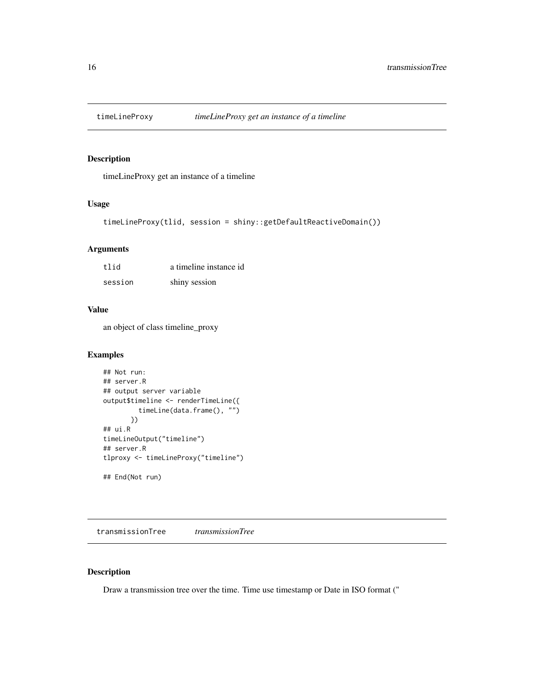<span id="page-15-0"></span>

timeLineProxy get an instance of a timeline

#### Usage

```
timeLineProxy(tlid, session = shiny::getDefaultReactiveDomain())
```
#### Arguments

| tlid    | a timeline instance id |
|---------|------------------------|
| session | shiny session          |

#### Value

an object of class timeline\_proxy

#### Examples

```
## Not run:
## server.R
## output server variable
output$timeline <- renderTimeLine({
         timeLine(data.frame(), "")
       })
## ui.R
timeLineOutput("timeline")
## server.R
tlproxy <- timeLineProxy("timeline")
## End(Not run)
```
<span id="page-15-1"></span>transmissionTree *transmissionTree*

#### Description

Draw a transmission tree over the time. Time use timestamp or Date in ISO format ("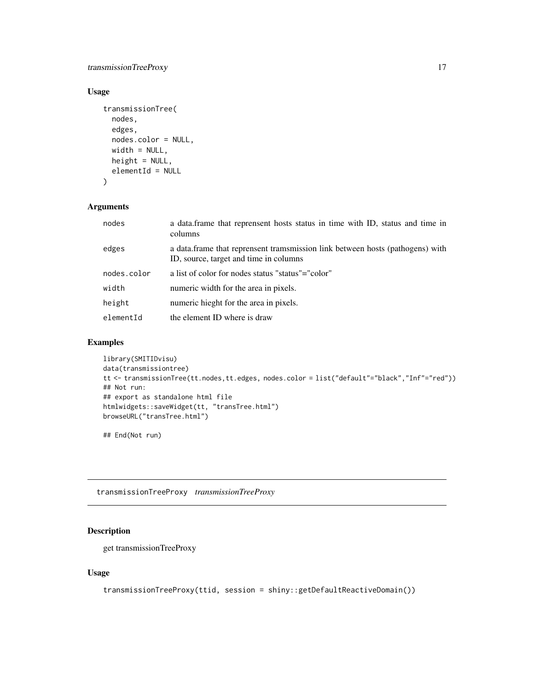#### <span id="page-16-0"></span>transmissionTreeProxy 17

#### Usage

```
transmissionTree(
 nodes,
 edges,
 nodes.color = NULL,
 width = NULL,height = NULL,elementId = NULL)
```
#### Arguments

| nodes       | a data. frame that reprensent hosts status in time with ID, status and time in<br>columns                               |
|-------------|-------------------------------------------------------------------------------------------------------------------------|
| edges       | a data frame that reprensent tramsmission link between hosts (pathogens) with<br>ID, source, target and time in columns |
| nodes.color | a list of color for nodes status "status"="color"                                                                       |
| width       | numeric width for the area in pixels.                                                                                   |
| height      | numeric hieght for the area in pixels.                                                                                  |
| elementId   | the element ID where is draw                                                                                            |

#### Examples

```
library(SMITIDvisu)
data(transmissiontree)
tt <- transmissionTree(tt.nodes,tt.edges, nodes.color = list("default"="black","Inf"="red"))
## Not run:
## export as standalone html file
htmlwidgets::saveWidget(tt, "transTree.html")
browseURL("transTree.html")
```
## End(Not run)

transmissionTreeProxy *transmissionTreeProxy*

#### Description

get transmissionTreeProxy

#### Usage

```
transmissionTreeProxy(ttid, session = shiny::getDefaultReactiveDomain())
```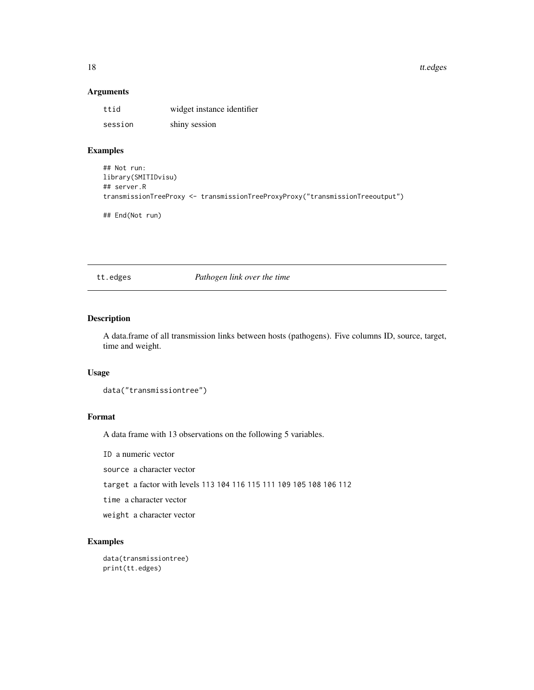<span id="page-17-0"></span>18 tt.edges to the control of the control of the control of the control of the control of the control of the control of the control of the control of the control of the control of the control of the control of the control

#### Arguments

| ttid    | widget instance identifier |
|---------|----------------------------|
| session | shiny session              |

#### Examples

```
## Not run:
library(SMITIDvisu)
## server.R
transmissionTreeProxy <- transmissionTreeProxyProxy("transmissionTreeoutput")
## End(Not run)
```
tt.edges *Pathogen link over the time*

#### Description

A data.frame of all transmission links between hosts (pathogens). Five columns ID, source, target, time and weight.

#### Usage

```
data("transmissiontree")
```
#### Format

A data frame with 13 observations on the following 5 variables.

ID a numeric vector

source a character vector

target a factor with levels 113 104 116 115 111 109 105 108 106 112

time a character vector

weight a character vector

```
data(transmissiontree)
print(tt.edges)
```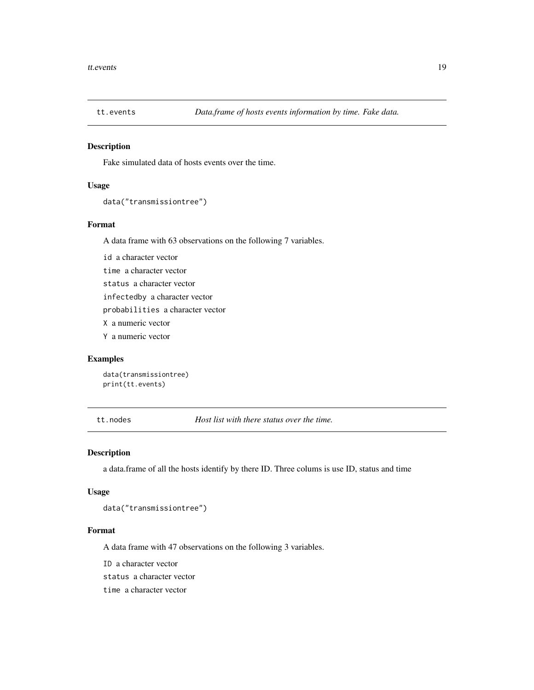<span id="page-18-0"></span>

Fake simulated data of hosts events over the time.

#### Usage

```
data("transmissiontree")
```
#### Format

A data frame with 63 observations on the following 7 variables.

id a character vector

time a character vector

status a character vector

infectedby a character vector

probabilities a character vector

X a numeric vector

Y a numeric vector

#### Examples

data(transmissiontree) print(tt.events)

tt.nodes *Host list with there status over the time.*

#### Description

a data.frame of all the hosts identify by there ID. Three colums is use ID, status and time

#### Usage

data("transmissiontree")

#### Format

A data frame with 47 observations on the following 3 variables.

ID a character vector

status a character vector

time a character vector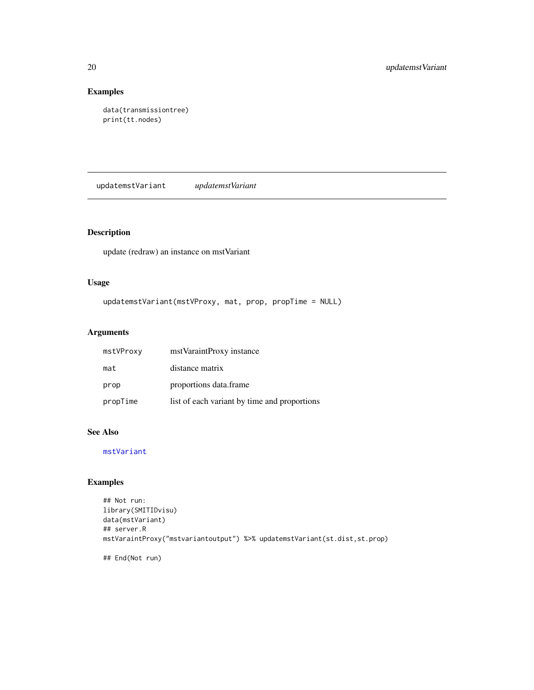#### Examples

```
data(transmissiontree)
print(tt.nodes)
```
updatemstVariant *updatemstVariant*

#### Description

update (redraw) an instance on mstVariant

#### Usage

```
updatemstVariant(mstVProxy, mat, prop, propTime = NULL)
```
#### Arguments

| mstVProxy | mst Varaint Proxy instance                   |
|-----------|----------------------------------------------|
| mat       | distance matrix                              |
| prop      | proportions data frame                       |
| propTime  | list of each variant by time and proportions |

#### See Also

[mstVariant](#page-8-1)

```
## Not run:
library(SMITIDvisu)
data(mstVariant)
## server.R
mstVaraintProxy("mstvariantoutput") %>% updatemstVariant(st.dist,st.prop)
## End(Not run)
```
<span id="page-19-0"></span>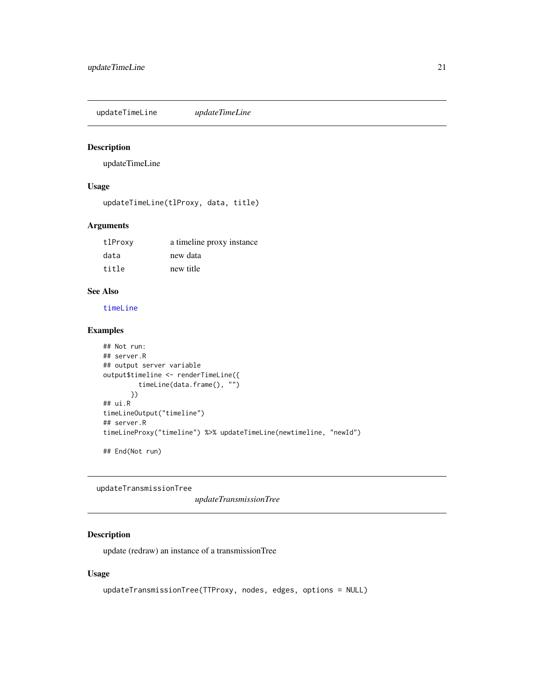<span id="page-20-0"></span>updateTimeLine *updateTimeLine*

#### Description

updateTimeLine

#### Usage

updateTimeLine(tlProxy, data, title)

#### Arguments

| tlProxy | a timeline proxy instance |
|---------|---------------------------|
| data    | new data                  |
| title   | new title                 |

#### See Also

[timeLine](#page-14-1)

#### Examples

```
## Not run:
## server.R
## output server variable
output$timeline <- renderTimeLine({
         timeLine(data.frame(), "")
       })
## ui.R
timeLineOutput("timeline")
## server.R
timeLineProxy("timeline") %>% updateTimeLine(newtimeline, "newId")
## End(Not run)
```
updateTransmissionTree

*updateTransmissionTree*

#### Description

update (redraw) an instance of a transmissionTree

#### Usage

```
updateTransmissionTree(TTProxy, nodes, edges, options = NULL)
```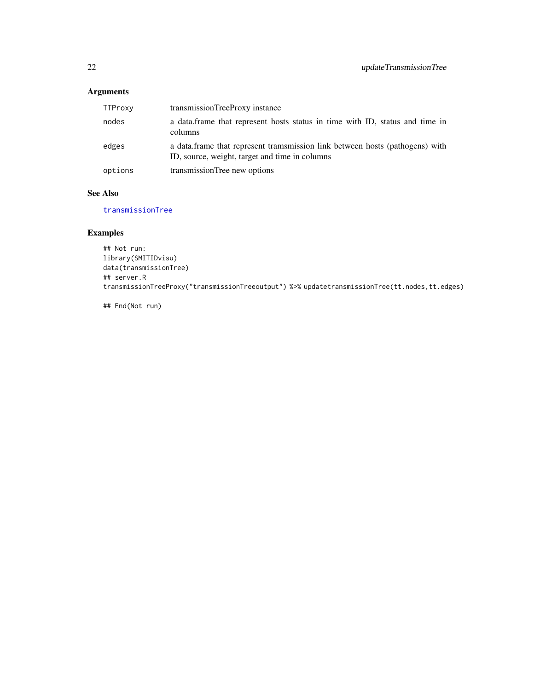#### <span id="page-21-0"></span>Arguments

| TTProxy | transmissionTreeProxy instance                                                                                                 |
|---------|--------------------------------------------------------------------------------------------------------------------------------|
| nodes   | a data. frame that represent hosts status in time with ID, status and time in<br>columns                                       |
| edges   | a data frame that represent tramsmission link between hosts (pathogens) with<br>ID, source, weight, target and time in columns |
| options | transmissionTree new options                                                                                                   |

#### See Also

[transmissionTree](#page-15-1)

#### Examples

```
## Not run:
library(SMITIDvisu)
data(transmissionTree)
## server.R
transmissionTreeProxy("transmissionTreeoutput") %>% updatetransmissionTree(tt.nodes,tt.edges)
```
## End(Not run)